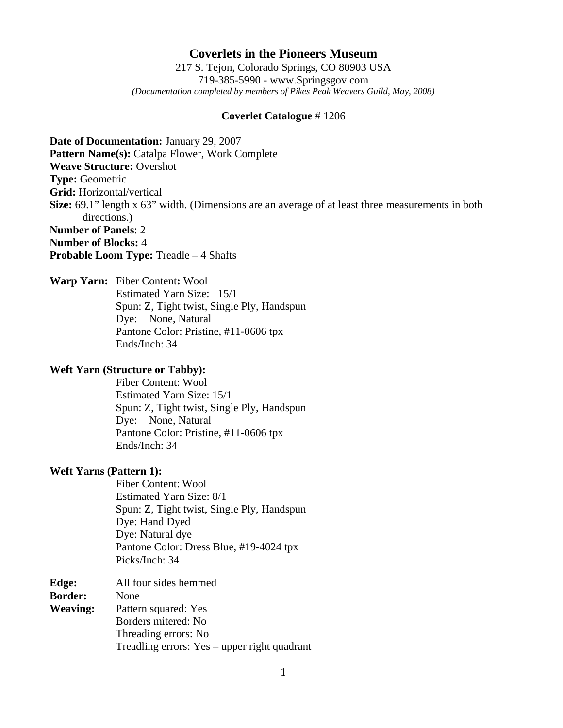# **Coverlets in the Pioneers Museum**

217 S. Tejon, Colorado Springs, CO 80903 USA 719-385-5990 - www.Springsgov.com *(Documentation completed by members of Pikes Peak Weavers Guild, May, 2008)* 

### **Coverlet Catalogue** # 1206

**Date of Documentation:** January 29, 2007 **Pattern Name(s):** Catalpa Flower, Work Complete **Weave Structure:** Overshot **Type:** Geometric **Grid:** Horizontal/vertical **Size:** 69.1" length x 63" width. (Dimensions are an average of at least three measurements in both directions.) **Number of Panels**: 2 **Number of Blocks:** 4

**Probable Loom Type:** Treadle – 4 Shafts

**Warp Yarn:** Fiber Content**:** Wool Estimated Yarn Size: 15/1 Spun: Z, Tight twist, Single Ply, Handspun Dye: None, Natural Pantone Color: Pristine, #11-0606 tpx Ends/Inch: 34

### **Weft Yarn (Structure or Tabby):**

 Fiber Content: Wool Estimated Yarn Size: 15/1 Spun: Z, Tight twist, Single Ply, Handspun Dye: None, Natural Pantone Color: Pristine, #11-0606 tpx Ends/Inch: 34

#### **Weft Yarns (Pattern 1):**

 Fiber Content: Wool Estimated Yarn Size: 8/1 Spun: Z, Tight twist, Single Ply, Handspun Dye: Hand Dyed Dye: Natural dye Pantone Color: Dress Blue, #19-4024 tpx Picks/Inch: 34

| Edge:           | All four sides hemmed                        |
|-----------------|----------------------------------------------|
| <b>Border:</b>  | None                                         |
| <b>Weaving:</b> | Pattern squared: Yes                         |
|                 | Borders mitered: No                          |
|                 | Threading errors: No                         |
|                 | Treadling errors: Yes – upper right quadrant |